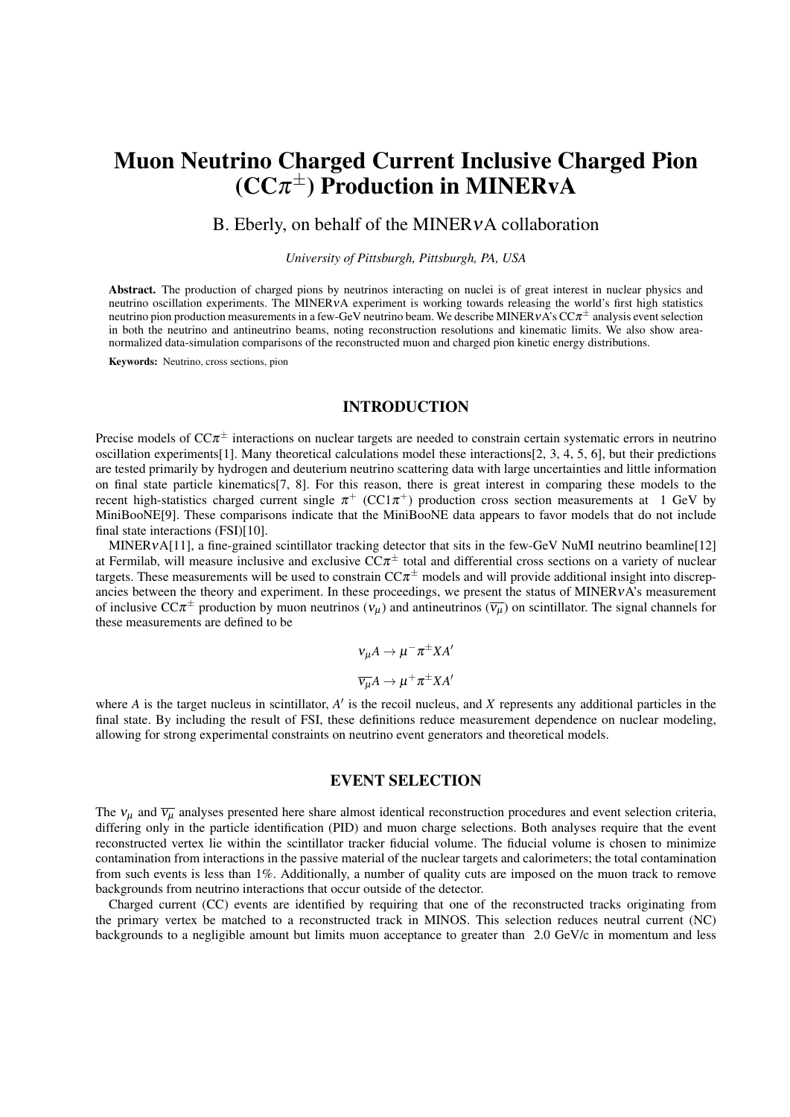# Muon Neutrino Charged Current Inclusive Charged Pion  $(CC\pi^{\pm})$  Production in MINERvA

# B. Eberly, on behalf of the MINER<sub>v</sub>A collaboration

*University of Pittsburgh, Pittsburgh, PA, USA*

Abstract. The production of charged pions by neutrinos interacting on nuclei is of great interest in nuclear physics and neutrino oscillation experiments. The MINERνA experiment is working towards releasing the world's first high statistics neutrino pion production measurements in a few-GeV neutrino beam. We describe MINERvA's CC $\pi^\pm$  analysis event selection in both the neutrino and antineutrino beams, noting reconstruction resolutions and kinematic limits. We also show areanormalized data-simulation comparisons of the reconstructed muon and charged pion kinetic energy distributions.

Keywords: Neutrino, cross sections, pion

#### INTRODUCTION

Precise models of  $CC\pi^{\pm}$  interactions on nuclear targets are needed to constrain certain systematic errors in neutrino oscillation experiments[1]. Many theoretical calculations model these interactions[2, 3, 4, 5, 6], but their predictions are tested primarily by hydrogen and deuterium neutrino scattering data with large uncertainties and little information on final state particle kinematics[7, 8]. For this reason, there is great interest in comparing these models to the recent high-statistics charged current single  $\pi^+$  (CC1 $\pi^+$ ) production cross section measurements at 1 GeV by MiniBooNE[9]. These comparisons indicate that the MiniBooNE data appears to favor models that do not include final state interactions (FSI)[10].

MINERvA[11], a fine-grained scintillator tracking detector that sits in the few-GeV NuMI neutrino beamline[12] at Fermilab, will measure inclusive and exclusive  $CC\pi^{\pm}$  total and differential cross sections on a variety of nuclear targets. These measurements will be used to constrain  $CC\pi^{\pm}$  models and will provide additional insight into discrepancies between the theory and experiment. In these proceedings, we present the status of MINERVA's measurement of inclusive CC $\pi^{\pm}$  production by muon neutrinos  $(v_{\mu})$  and antineutrinos  $(\overline{v_{\mu}})$  on scintillator. The signal channels for these measurements are defined to be

> $v_\mu A \to \mu^- \pi^\pm X A^\prime$  $\overline{v_{\mu}}A \rightarrow \mu^+\pi^{\pm}XA^{\prime}$

where  $A$  is the target nucleus in scintillator,  $A'$  is the recoil nucleus, and  $X$  represents any additional particles in the final state. By including the result of FSI, these definitions reduce measurement dependence on nuclear modeling, allowing for strong experimental constraints on neutrino event generators and theoretical models.

## EVENT SELECTION

The  $v_\mu$  and  $\overline{v_\mu}$  analyses presented here share almost identical reconstruction procedures and event selection criteria, differing only in the particle identification (PID) and muon charge selections. Both analyses require that the event reconstructed vertex lie within the scintillator tracker fiducial volume. The fiducial volume is chosen to minimize contamination from interactions in the passive material of the nuclear targets and calorimeters; the total contamination from such events is less than 1%. Additionally, a number of quality cuts are imposed on the muon track to remove backgrounds from neutrino interactions that occur outside of the detector.

Charged current (CC) events are identified by requiring that one of the reconstructed tracks originating from the primary vertex be matched to a reconstructed track in MINOS. This selection reduces neutral current (NC) backgrounds to a negligible amount but limits muon acceptance to greater than 2.0 GeV/c in momentum and less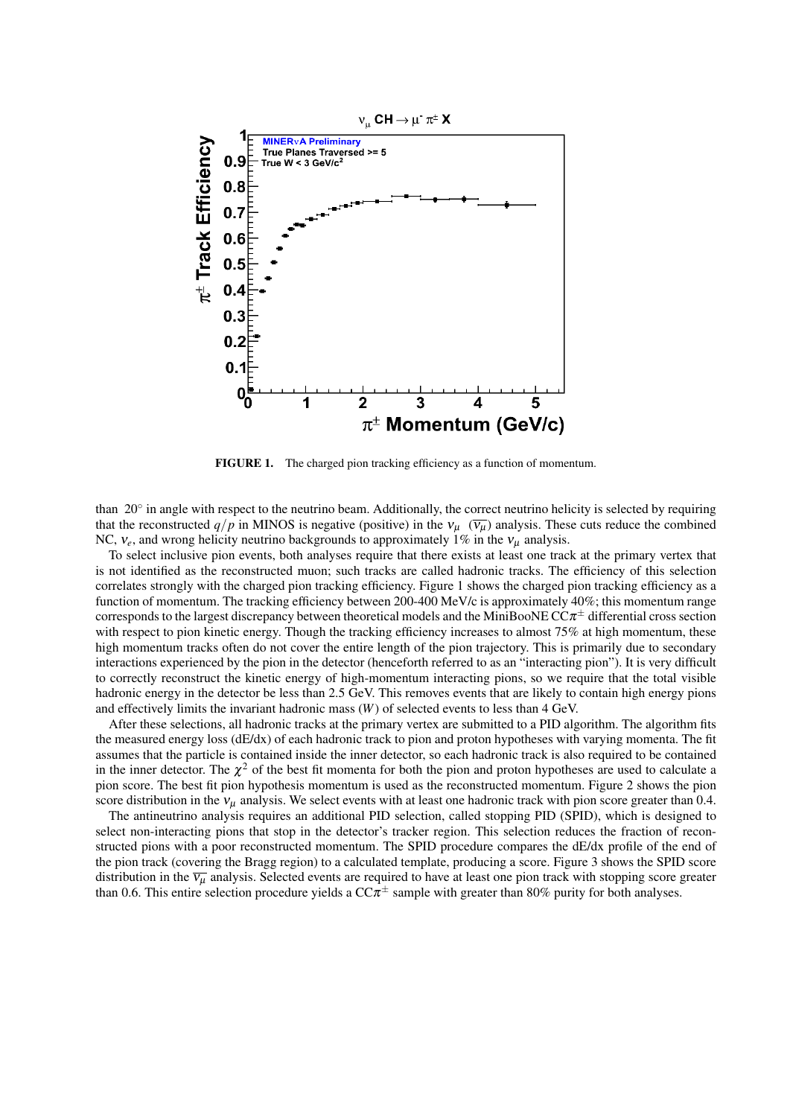

FIGURE 1. The charged pion tracking efficiency as a function of momentum.

than 20° in angle with respect to the neutrino beam. Additionally, the correct neutrino helicity is selected by requiring that the reconstructed  $q/p$  in MINOS is negative (positive) in the  $v_\mu$  ( $\overline{v_\mu}$ ) analysis. These cuts reduce the combined NC,  $v_e$ , and wrong helicity neutrino backgrounds to approximately 1% in the  $v_\mu$  analysis.

To select inclusive pion events, both analyses require that there exists at least one track at the primary vertex that is not identified as the reconstructed muon; such tracks are called hadronic tracks. The efficiency of this selection correlates strongly with the charged pion tracking efficiency. Figure 1 shows the charged pion tracking efficiency as a function of momentum. The tracking efficiency between 200-400 MeV/c is approximately 40%; this momentum range corresponds to the largest discrepancy between theoretical models and the MiniBooNE  $CC\pi^{\pm}$  differential cross section with respect to pion kinetic energy. Though the tracking efficiency increases to almost 75% at high momentum, these high momentum tracks often do not cover the entire length of the pion trajectory. This is primarily due to secondary interactions experienced by the pion in the detector (henceforth referred to as an "interacting pion"). It is very difficult to correctly reconstruct the kinetic energy of high-momentum interacting pions, so we require that the total visible hadronic energy in the detector be less than 2.5 GeV. This removes events that are likely to contain high energy pions and effectively limits the invariant hadronic mass (*W*) of selected events to less than 4 GeV.

After these selections, all hadronic tracks at the primary vertex are submitted to a PID algorithm. The algorithm fits the measured energy loss (dE/dx) of each hadronic track to pion and proton hypotheses with varying momenta. The fit assumes that the particle is contained inside the inner detector, so each hadronic track is also required to be contained in the inner detector. The  $\chi^2$  of the best fit momenta for both the pion and proton hypotheses are used to calculate a pion score. The best fit pion hypothesis momentum is used as the reconstructed momentum. Figure 2 shows the pion score distribution in the  $v_\mu$  analysis. We select events with at least one hadronic track with pion score greater than 0.4.

The antineutrino analysis requires an additional PID selection, called stopping PID (SPID), which is designed to select non-interacting pions that stop in the detector's tracker region. This selection reduces the fraction of reconstructed pions with a poor reconstructed momentum. The SPID procedure compares the dE/dx profile of the end of the pion track (covering the Bragg region) to a calculated template, producing a score. Figure 3 shows the SPID score distribution in the  $\overline{v_u}$  analysis. Selected events are required to have at least one pion track with stopping score greater than 0.6. This entire selection procedure yields a  $CC\pi^{\pm}$  sample with greater than 80% purity for both analyses.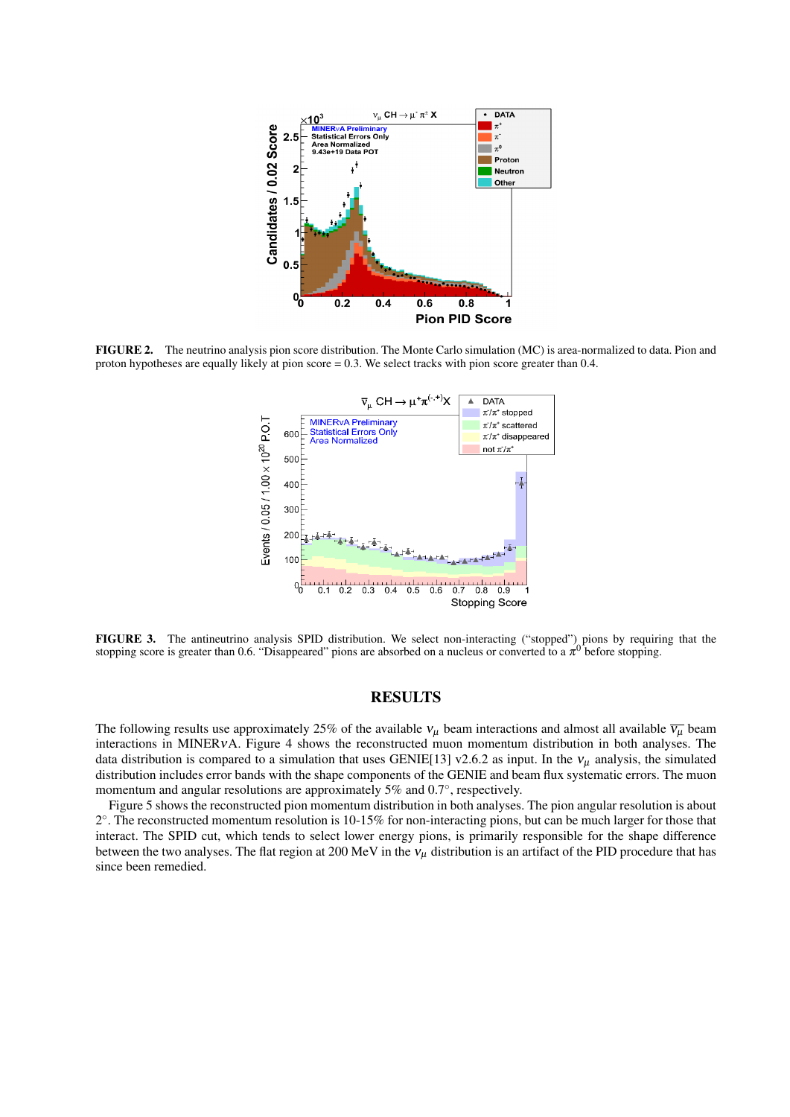

FIGURE 2. The neutrino analysis pion score distribution. The Monte Carlo simulation (MC) is area-normalized to data. Pion and proton hypotheses are equally likely at pion score = 0.3. We select tracks with pion score greater than 0.4.



FIGURE 3. The antineutrino analysis SPID distribution. We select non-interacting ("stopped") pions by requiring that the stopping score is greater than 0.6. "Disappeared" pions are absorbed on a nucleus or converted to a  $\pi^0$  before stopping.

### RESULTS

The following results use approximately 25% of the available  $v_\mu$  beam interactions and almost all available  $\overline{v_\mu}$  beam interactions in MINERνA. Figure 4 shows the reconstructed muon momentum distribution in both analyses. The data distribution is compared to a simulation that uses GENIE[13] v2.6.2 as input. In the  $v_\mu$  analysis, the simulated distribution includes error bands with the shape components of the GENIE and beam flux systematic errors. The muon momentum and angular resolutions are approximately 5% and 0.7°, respectively.

Figure 5 shows the reconstructed pion momentum distribution in both analyses. The pion angular resolution is about 2 ◦ . The reconstructed momentum resolution is 10-15% for non-interacting pions, but can be much larger for those that interact. The SPID cut, which tends to select lower energy pions, is primarily responsible for the shape difference between the two analyses. The flat region at 200 MeV in the  $v<sub>u</sub>$  distribution is an artifact of the PID procedure that has since been remedied.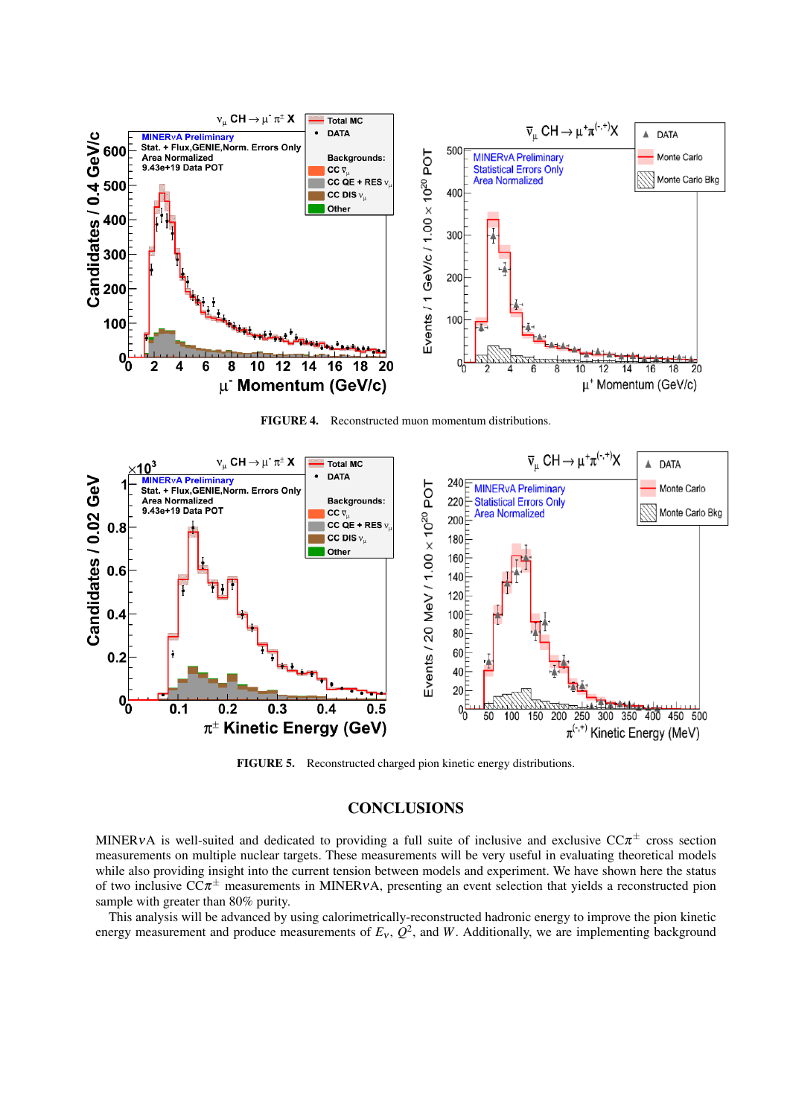

FIGURE 4. Reconstructed muon momentum distributions.



FIGURE 5. Reconstructed charged pion kinetic energy distributions.

# **CONCLUSIONS**

MINERvA is well-suited and dedicated to providing a full suite of inclusive and exclusive  $CC\pi^{\pm}$  cross section measurements on multiple nuclear targets. These measurements will be very useful in evaluating theoretical models while also providing insight into the current tension between models and experiment. We have shown here the status of two inclusive  $CC\pi^{\pm}$  measurements in MINERvA, presenting an event selection that yields a reconstructed pion sample with greater than 80% purity.

This analysis will be advanced by using calorimetrically-reconstructed hadronic energy to improve the pion kinetic energy measurement and produce measurements of  $E_v$ ,  $Q^2$ , and *W*. Additionally, we are implementing background